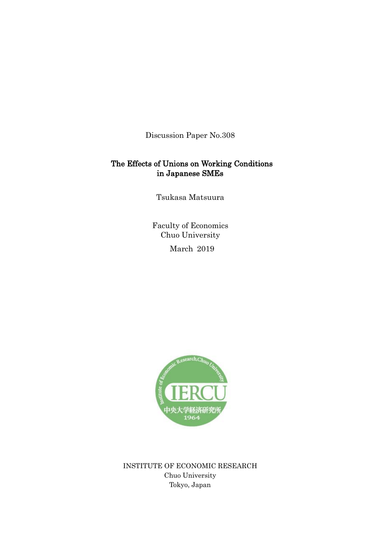Discussion Paper No.308

# The Effects of Unions on Working Conditions in Japanese SMEs

Tsukasa Matsuura

Faculty of Economics Chuo University

March 2019



INSTITUTE OF ECONOMIC RESEARCH Chuo University Tokyo, Japan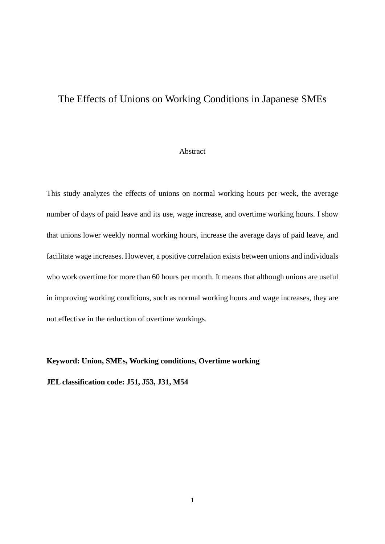# The Effects of Unions on Working Conditions in Japanese SMEs

#### Abstract

This study analyzes the effects of unions on normal working hours per week, the average number of days of paid leave and its use, wage increase, and overtime working hours. I show that unions lower weekly normal working hours, increase the average days of paid leave, and facilitate wage increases. However, a positive correlation exists between unions and individuals who work overtime for more than 60 hours per month. It means that although unions are useful in improving working conditions, such as normal working hours and wage increases, they are not effective in the reduction of overtime workings.

### **Keyword: Union, SMEs, Working conditions, Overtime working**

**JEL classification code: J51, J53, J31, M54**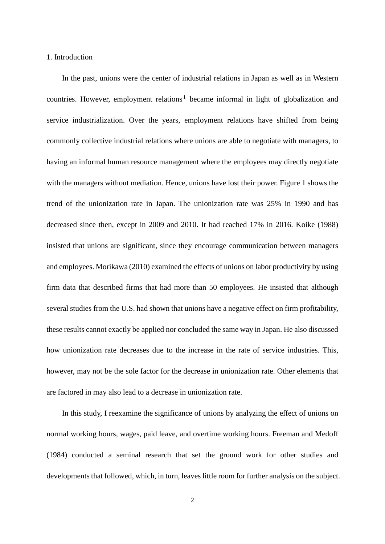#### 1. Introduction

In the past, unions were the center of industrial relations in Japan as well as in Western countries. However, employment relations<sup>[1](#page-24-0)</sup> became informal in light of globalization and service industrialization. Over the years, employment relations have shifted from being commonly collective industrial relations where unions are able to negotiate with managers, to having an informal human resource management where the employees may directly negotiate with the managers without mediation. Hence, unions have lost their power. Figure 1 shows the trend of the unionization rate in Japan. The unionization rate was 25% in 1990 and has decreased since then, except in 2009 and 2010. It had reached 17% in 2016. Koike (1988) insisted that unions are significant, since they encourage communication between managers and employees. Morikawa (2010) examined the effects of unions on labor productivity by using firm data that described firms that had more than 50 employees. He insisted that although several studies from the U.S. had shown that unions have a negative effect on firm profitability, these results cannot exactly be applied nor concluded the same way in Japan. He also discussed how unionization rate decreases due to the increase in the rate of service industries. This, however, may not be the sole factor for the decrease in unionization rate. Other elements that are factored in may also lead to a decrease in unionization rate.

In this study, I reexamine the significance of unions by analyzing the effect of unions on normal working hours, wages, paid leave, and overtime working hours. Freeman and Medoff (1984) conducted a seminal research that set the ground work for other studies and developments that followed, which, in turn, leaves little room for further analysis on the subject.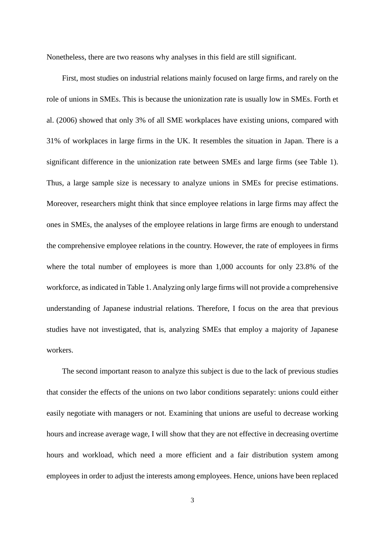Nonetheless, there are two reasons why analyses in this field are still significant.

First, most studies on industrial relations mainly focused on large firms, and rarely on the role of unions in SMEs. This is because the unionization rate is usually low in SMEs. Forth et al. (2006) showed that only 3% of all SME workplaces have existing unions, compared with 31% of workplaces in large firms in the UK. It resembles the situation in Japan. There is a significant difference in the unionization rate between SMEs and large firms (see Table 1). Thus, a large sample size is necessary to analyze unions in SMEs for precise estimations. Moreover, researchers might think that since employee relations in large firms may affect the ones in SMEs, the analyses of the employee relations in large firms are enough to understand the comprehensive employee relations in the country. However, the rate of employees in firms where the total number of employees is more than 1,000 accounts for only 23.8% of the workforce, as indicated in Table 1. Analyzing only large firms will not provide a comprehensive understanding of Japanese industrial relations. Therefore, I focus on the area that previous studies have not investigated, that is, analyzing SMEs that employ a majority of Japanese workers.

The second important reason to analyze this subject is due to the lack of previous studies that consider the effects of the unions on two labor conditions separately: unions could either easily negotiate with managers or not. Examining that unions are useful to decrease working hours and increase average wage, I will show that they are not effective in decreasing overtime hours and workload, which need a more efficient and a fair distribution system among employees in order to adjust the interests among employees. Hence, unions have been replaced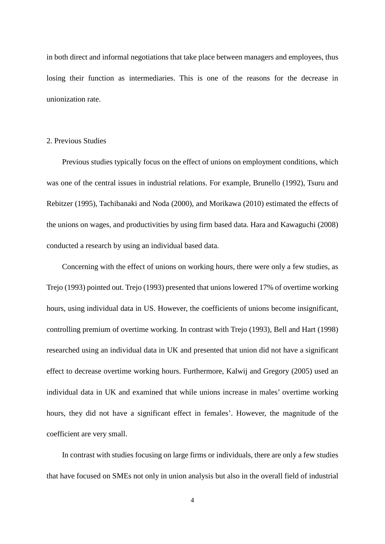in both direct and informal negotiations that take place between managers and employees, thus losing their function as intermediaries. This is one of the reasons for the decrease in unionization rate.

### 2. Previous Studies

Previous studies typically focus on the effect of unions on employment conditions, which was one of the central issues in industrial relations. For example, Brunello (1992), Tsuru and Rebitzer (1995), Tachibanaki and Noda (2000), and Morikawa (2010) estimated the effects of the unions on wages, and productivities by using firm based data. Hara and Kawaguchi (2008) conducted a research by using an individual based data.

Concerning with the effect of unions on working hours, there were only a few studies, as Trejo (1993) pointed out. Trejo (1993) presented that unions lowered 17% of overtime working hours, using individual data in US. However, the coefficients of unions become insignificant, controlling premium of overtime working. In contrast with Trejo (1993), Bell and Hart (1998) researched using an individual data in UK and presented that union did not have a significant effect to decrease overtime working hours. Furthermore, Kalwij and Gregory (2005) used an individual data in UK and examined that while unions increase in males' overtime working hours, they did not have a significant effect in females'. However, the magnitude of the coefficient are very small.

In contrast with studies focusing on large firms or individuals, there are only a few studies that have focused on SMEs not only in union analysis but also in the overall field of industrial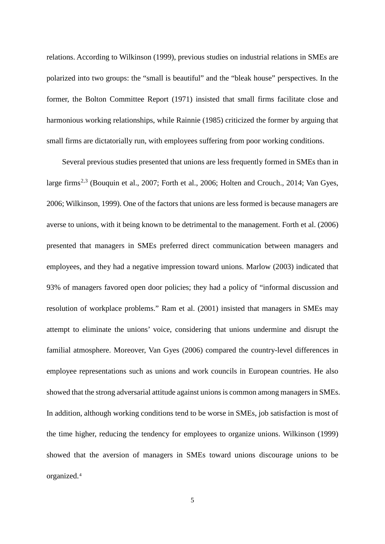relations. According to Wilkinson (1999), previous studies on industrial relations in SMEs are polarized into two groups: the "small is beautiful" and the "bleak house" perspectives. In the former, the Bolton Committee Report (1971) insisted that small firms facilitate close and harmonious working relationships, while Rainnie (1985) criticized the former by arguing that small firms are dictatorially run, with employees suffering from poor working conditions.

Several previous studies presented that unions are less frequently formed in SMEs than in large firms<sup>[2](#page-24-1),[3](#page-24-2)</sup> (Bouquin et al., 2007; Forth et al., 2006; Holten and Crouch., 2014; Van Gyes, 2006; Wilkinson, 1999). One of the factors that unions are less formed is because managers are averse to unions, with it being known to be detrimental to the management. Forth et al. (2006) presented that managers in SMEs preferred direct communication between managers and employees, and they had a negative impression toward unions. Marlow (2003) indicated that 93% of managers favored open door policies; they had a policy of "informal discussion and resolution of workplace problems." Ram et al. (2001) insisted that managers in SMEs may attempt to eliminate the unions' voice, considering that unions undermine and disrupt the familial atmosphere. Moreover, Van Gyes (2006) compared the country-level differences in employee representations such as unions and work councils in European countries. He also showed that the strong adversarial attitude against unions is common among managers in SMEs. In addition, although working conditions tend to be worse in SMEs, job satisfaction is most of the time higher, reducing the tendency for employees to organize unions. Wilkinson (1999) showed that the aversion of managers in SMEs toward unions discourage unions to be organized.[4](#page-24-3)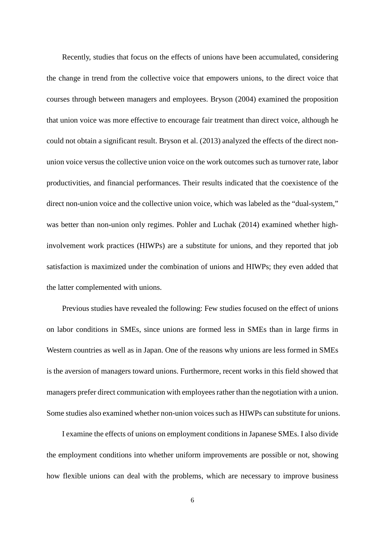Recently, studies that focus on the effects of unions have been accumulated, considering the change in trend from the collective voice that empowers unions, to the direct voice that courses through between managers and employees. Bryson (2004) examined the proposition that union voice was more effective to encourage fair treatment than direct voice, although he could not obtain a significant result. Bryson et al. (2013) analyzed the effects of the direct nonunion voice versus the collective union voice on the work outcomes such as turnover rate, labor productivities, and financial performances. Their results indicated that the coexistence of the direct non-union voice and the collective union voice, which was labeled as the "dual-system," was better than non-union only regimes. Pohler and Luchak (2014) examined whether highinvolvement work practices (HIWPs) are a substitute for unions, and they reported that job satisfaction is maximized under the combination of unions and HIWPs; they even added that the latter complemented with unions.

Previous studies have revealed the following: Few studies focused on the effect of unions on labor conditions in SMEs, since unions are formed less in SMEs than in large firms in Western countries as well as in Japan. One of the reasons why unions are less formed in SMEs is the aversion of managers toward unions. Furthermore, recent works in this field showed that managers prefer direct communication with employees rather than the negotiation with a union. Some studies also examined whether non-union voices such as HIWPs can substitute for unions.

I examine the effects of unions on employment conditions in Japanese SMEs. I also divide the employment conditions into whether uniform improvements are possible or not, showing how flexible unions can deal with the problems, which are necessary to improve business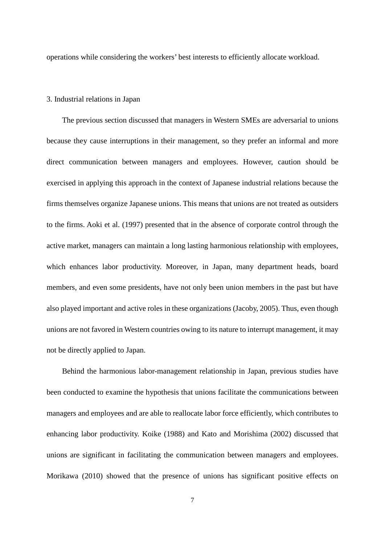operations while considering the workers' best interests to efficiently allocate workload.

#### 3. Industrial relations in Japan

The previous section discussed that managers in Western SMEs are adversarial to unions because they cause interruptions in their management, so they prefer an informal and more direct communication between managers and employees. However, caution should be exercised in applying this approach in the context of Japanese industrial relations because the firms themselves organize Japanese unions. This means that unions are not treated as outsiders to the firms. Aoki et al. (1997) presented that in the absence of corporate control through the active market, managers can maintain a long lasting harmonious relationship with employees, which enhances labor productivity. Moreover, in Japan, many department heads, board members, and even some presidents, have not only been union members in the past but have also played important and active roles in these organizations (Jacoby, 2005). Thus, even though unions are not favored in Western countries owing to its nature to interrupt management, it may not be directly applied to Japan.

Behind the harmonious labor-management relationship in Japan, previous studies have been conducted to examine the hypothesis that unions facilitate the communications between managers and employees and are able to reallocate labor force efficiently, which contributes to enhancing labor productivity. Koike (1988) and Kato and Morishima (2002) discussed that unions are significant in facilitating the communication between managers and employees. Morikawa (2010) showed that the presence of unions has significant positive effects on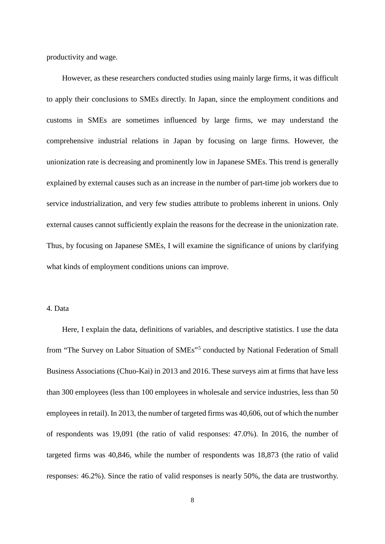productivity and wage.

However, as these researchers conducted studies using mainly large firms, it was difficult to apply their conclusions to SMEs directly. In Japan, since the employment conditions and customs in SMEs are sometimes influenced by large firms, we may understand the comprehensive industrial relations in Japan by focusing on large firms. However, the unionization rate is decreasing and prominently low in Japanese SMEs. This trend is generally explained by external causes such as an increase in the number of part-time job workers due to service industrialization, and very few studies attribute to problems inherent in unions. Only external causes cannot sufficiently explain the reasons for the decrease in the unionization rate. Thus, by focusing on Japanese SMEs, I will examine the significance of unions by clarifying what kinds of employment conditions unions can improve.

# 4. Data

Here, I explain the data, definitions of variables, and descriptive statistics. I use the data from "The Survey on Labor Situation of SMEs"[5](#page-25-0) conducted by National Federation of Small Business Associations (Chuo-Kai) in 2013 and 2016. These surveys aim at firms that have less than 300 employees (less than 100 employees in wholesale and service industries, less than 50 employees in retail). In 2013, the number of targeted firms was 40,606, out of which the number of respondents was 19,091 (the ratio of valid responses: 47.0%). In 2016, the number of targeted firms was 40,846, while the number of respondents was 18,873 (the ratio of valid responses: 46.2%). Since the ratio of valid responses is nearly 50%, the data are trustworthy.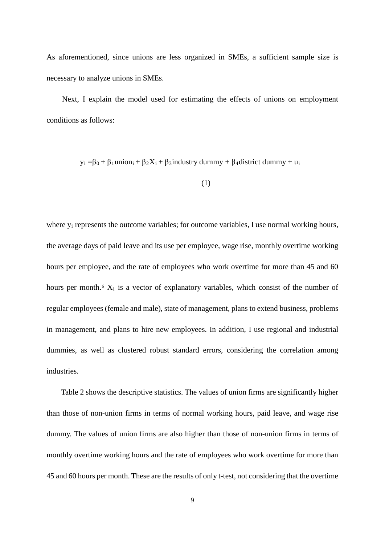As aforementioned, since unions are less organized in SMEs, a sufficient sample size is necessary to analyze unions in SMEs.

Next, I explain the model used for estimating the effects of unions on employment conditions as follows:

 $y_i = \beta_0 + \beta_1$ union<sub>i</sub> +  $\beta_2 X_i + \beta_3$ industry dummy +  $\beta_4$ district dummy + u<sub>i</sub>

$$
(1)
$$

where  $y_i$  represents the outcome variables; for outcome variables, I use normal working hours, the average days of paid leave and its use per employee, wage rise, monthly overtime working hours per employee, and the rate of employees who work overtime for more than 45 and 60 hours per month.<sup>[6](#page-26-0)</sup>  $X_i$  is a vector of explanatory variables, which consist of the number of regular employees (female and male), state of management, plans to extend business, problems in management, and plans to hire new employees. In addition, I use regional and industrial dummies, as well as clustered robust standard errors, considering the correlation among industries.

Table 2 shows the descriptive statistics. The values of union firms are significantly higher than those of non-union firms in terms of normal working hours, paid leave, and wage rise dummy. The values of union firms are also higher than those of non-union firms in terms of monthly overtime working hours and the rate of employees who work overtime for more than 45 and 60 hours per month. These are the results of only t-test, not considering that the overtime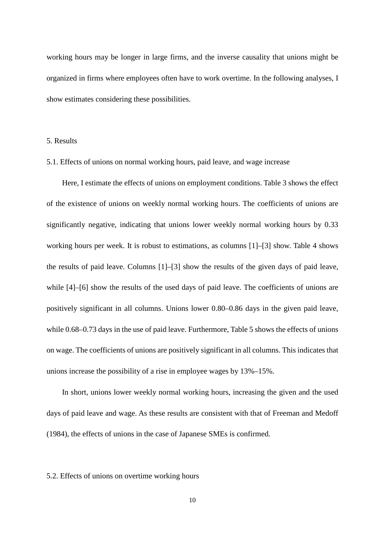working hours may be longer in large firms, and the inverse causality that unions might be organized in firms where employees often have to work overtime. In the following analyses, I show estimates considering these possibilities.

# 5. Results

### 5.1. Effects of unions on normal working hours, paid leave, and wage increase

Here, I estimate the effects of unions on employment conditions. Table 3 shows the effect of the existence of unions on weekly normal working hours. The coefficients of unions are significantly negative, indicating that unions lower weekly normal working hours by 0.33 working hours per week. It is robust to estimations, as columns [1]–[3] show. Table 4 shows the results of paid leave. Columns [1]–[3] show the results of the given days of paid leave, while [4]–[6] show the results of the used days of paid leave. The coefficients of unions are positively significant in all columns. Unions lower 0.80–0.86 days in the given paid leave, while 0.68–0.73 days in the use of paid leave. Furthermore, Table 5 shows the effects of unions on wage. The coefficients of unions are positively significant in all columns. This indicates that unions increase the possibility of a rise in employee wages by 13%–15%.

In short, unions lower weekly normal working hours, increasing the given and the used days of paid leave and wage. As these results are consistent with that of Freeman and Medoff (1984), the effects of unions in the case of Japanese SMEs is confirmed.

### 5.2. Effects of unions on overtime working hours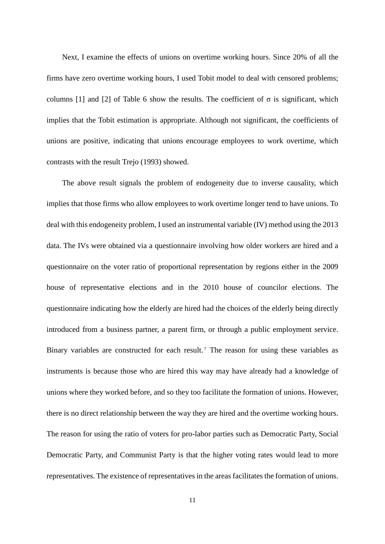Next, I examine the effects of unions on overtime working hours. Since 20% of all the firms have zero overtime working hours, I used Tobit model to deal with censored problems; columns [1] and [2] of Table 6 show the results. The coefficient of  $\sigma$  is significant, which implies that the Tobit estimation is appropriate. Although not significant, the coefficients of unions are positive, indicating that unions encourage employees to work overtime, which contrasts with the result Trejo (1993) showed.

The above result signals the problem of endogeneity due to inverse causality, which implies that those firms who allow employees to work overtime longer tend to have unions. To deal with this endogeneity problem, I used an instrumental variable (IV) method using the 2013 data. The IVs were obtained via a questionnaire involving how older workers are hired and a questionnaire on the voter ratio of proportional representation by regions either in the 2009 house of representative elections and in the 2010 house of councilor elections. The questionnaire indicating how the elderly are hired had the choices of the elderly being directly introduced from a business partner, a parent firm, or through a public employment service. Binary variables are constructed for each result.<sup>[7](#page-26-1)</sup> The reason for using these variables as instruments is because those who are hired this way may have already had a knowledge of unions where they worked before, and so they too facilitate the formation of unions. However, there is no direct relationship between the way they are hired and the overtime working hours. The reason for using the ratio of voters for pro-labor parties such as Democratic Party, Social Democratic Party, and Communist Party is that the higher voting rates would lead to more representatives. The existence of representatives in the areas facilitates the formation of unions.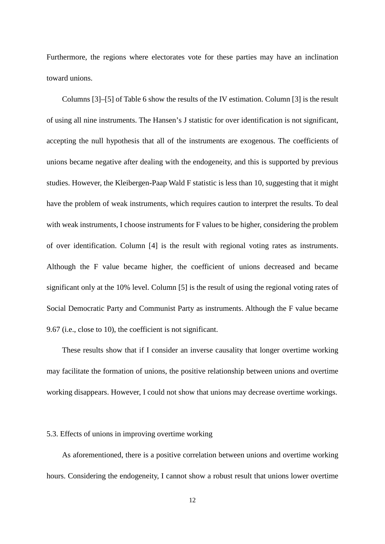Furthermore, the regions where electorates vote for these parties may have an inclination toward unions.

Columns [3]–[5] of Table 6 show the results of the IV estimation. Column [3] is the result of using all nine instruments. The Hansen's J statistic for over identification is not significant, accepting the null hypothesis that all of the instruments are exogenous. The coefficients of unions became negative after dealing with the endogeneity, and this is supported by previous studies. However, the Kleibergen-Paap Wald F statistic is less than 10, suggesting that it might have the problem of weak instruments, which requires caution to interpret the results. To deal with weak instruments, I choose instruments for F values to be higher, considering the problem of over identification. Column [4] is the result with regional voting rates as instruments. Although the F value became higher, the coefficient of unions decreased and became significant only at the 10% level. Column [5] is the result of using the regional voting rates of Social Democratic Party and Communist Party as instruments. Although the F value became 9.67 (i.e., close to 10), the coefficient is not significant.

These results show that if I consider an inverse causality that longer overtime working may facilitate the formation of unions, the positive relationship between unions and overtime working disappears. However, I could not show that unions may decrease overtime workings.

#### 5.3. Effects of unions in improving overtime working

As aforementioned, there is a positive correlation between unions and overtime working hours. Considering the endogeneity, I cannot show a robust result that unions lower overtime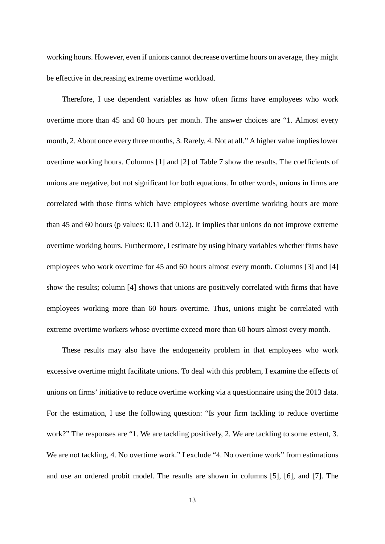working hours. However, even if unions cannot decrease overtime hours on average, they might be effective in decreasing extreme overtime workload.

Therefore, I use dependent variables as how often firms have employees who work overtime more than 45 and 60 hours per month. The answer choices are "1. Almost every month, 2. About once every three months, 3. Rarely, 4. Not at all." A higher value implies lower overtime working hours. Columns [1] and [2] of Table 7 show the results. The coefficients of unions are negative, but not significant for both equations. In other words, unions in firms are correlated with those firms which have employees whose overtime working hours are more than 45 and 60 hours (p values: 0.11 and 0.12). It implies that unions do not improve extreme overtime working hours. Furthermore, I estimate by using binary variables whether firms have employees who work overtime for 45 and 60 hours almost every month. Columns [3] and [4] show the results; column [4] shows that unions are positively correlated with firms that have employees working more than 60 hours overtime. Thus, unions might be correlated with extreme overtime workers whose overtime exceed more than 60 hours almost every month.

These results may also have the endogeneity problem in that employees who work excessive overtime might facilitate unions. To deal with this problem, I examine the effects of unions on firms' initiative to reduce overtime working via a questionnaire using the 2013 data. For the estimation, I use the following question: "Is your firm tackling to reduce overtime work?" The responses are "1. We are tackling positively, 2. We are tackling to some extent, 3. We are not tackling, 4. No overtime work." I exclude "4. No overtime work" from estimations and use an ordered probit model. The results are shown in columns [5], [6], and [7]. The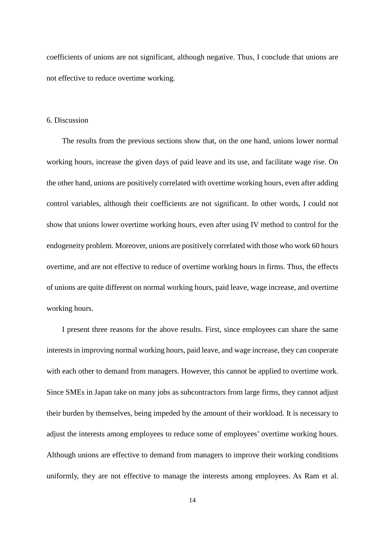coefficients of unions are not significant, although negative. Thus, I conclude that unions are not effective to reduce overtime working.

# 6. Discussion

The results from the previous sections show that, on the one hand, unions lower normal working hours, increase the given days of paid leave and its use, and facilitate wage rise. On the other hand, unions are positively correlated with overtime working hours, even after adding control variables, although their coefficients are not significant. In other words, I could not show that unions lower overtime working hours, even after using IV method to control for the endogeneity problem. Moreover, unions are positively correlated with those who work 60 hours overtime, and are not effective to reduce of overtime working hours in firms. Thus, the effects of unions are quite different on normal working hours, paid leave, wage increase, and overtime working hours.

I present three reasons for the above results. First, since employees can share the same interests in improving normal working hours, paid leave, and wage increase, they can cooperate with each other to demand from managers. However, this cannot be applied to overtime work. Since SMEs in Japan take on many jobs as subcontractors from large firms, they cannot adjust their burden by themselves, being impeded by the amount of their workload. It is necessary to adjust the interests among employees to reduce some of employees' overtime working hours. Although unions are effective to demand from managers to improve their working conditions uniformly, they are not effective to manage the interests among employees. As Ram et al.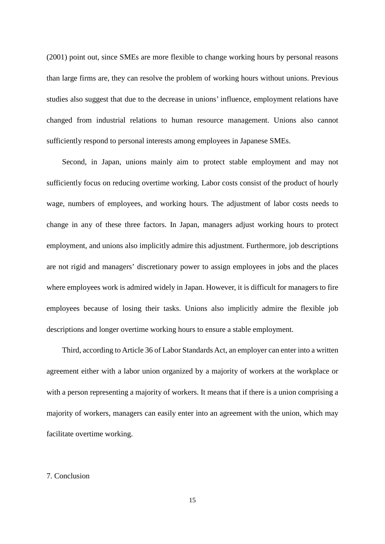(2001) point out, since SMEs are more flexible to change working hours by personal reasons than large firms are, they can resolve the problem of working hours without unions. Previous studies also suggest that due to the decrease in unions' influence, employment relations have changed from industrial relations to human resource management. Unions also cannot sufficiently respond to personal interests among employees in Japanese SMEs.

Second, in Japan, unions mainly aim to protect stable employment and may not sufficiently focus on reducing overtime working. Labor costs consist of the product of hourly wage, numbers of employees, and working hours. The adjustment of labor costs needs to change in any of these three factors. In Japan, managers adjust working hours to protect employment, and unions also implicitly admire this adjustment. Furthermore, job descriptions are not rigid and managers' discretionary power to assign employees in jobs and the places where employees work is admired widely in Japan. However, it is difficult for managers to fire employees because of losing their tasks. Unions also implicitly admire the flexible job descriptions and longer overtime working hours to ensure a stable employment.

Third, according to Article 36 of Labor Standards Act, an employer can enter into a written agreement either with a labor union organized by a majority of workers at the workplace or with a person representing a majority of workers. It means that if there is a union comprising a majority of workers, managers can easily enter into an agreement with the union, which may facilitate overtime working.

#### 7. Conclusion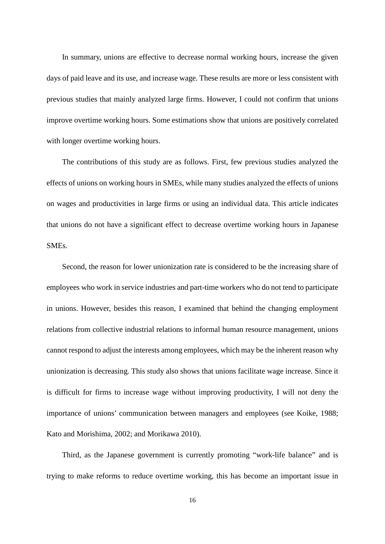In summary, unions are effective to decrease normal working hours, increase the given days of paid leave and its use, and increase wage. These results are more or less consistent with previous studies that mainly analyzed large firms. However, I could not confirm that unions improve overtime working hours. Some estimations show that unions are positively correlated with longer overtime working hours.

The contributions of this study are as follows. First, few previous studies analyzed the effects of unions on working hours in SMEs, while many studies analyzed the effects of unions on wages and productivities in large firms or using an individual data. This article indicates that unions do not have a significant effect to decrease overtime working hours in Japanese SMEs.

Second, the reason for lower unionization rate is considered to be the increasing share of employees who work in service industries and part-time workers who do not tend to participate in unions. However, besides this reason, I examined that behind the changing employment relations from collective industrial relations to informal human resource management, unions cannot respond to adjust the interests among employees, which may be the inherent reason why unionization is decreasing. This study also shows that unions facilitate wage increase. Since it is difficult for firms to increase wage without improving productivity, I will not deny the importance of unions' communication between managers and employees (see Koike, 1988; Kato and Morishima, 2002; and Morikawa 2010).

Third, as the Japanese government is currently promoting "work-life balance" and is trying to make reforms to reduce overtime working, this has become an important issue in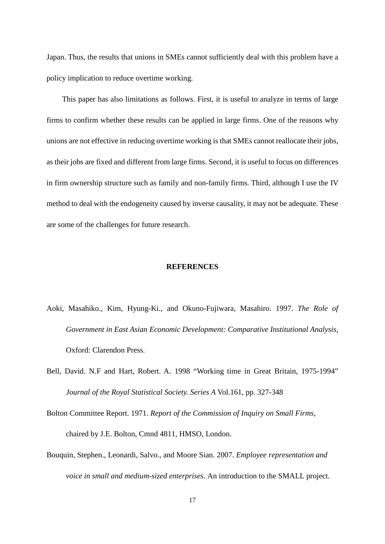Japan. Thus, the results that unions in SMEs cannot sufficiently deal with this problem have a policy implication to reduce overtime working.

This paper has also limitations as follows. First, it is useful to analyze in terms of large firms to confirm whether these results can be applied in large firms. One of the reasons why unions are not effective in reducing overtime working is that SMEs cannot reallocate their jobs, as their jobs are fixed and different from large firms. Second, it is useful to focus on differences in firm ownership structure such as family and non-family firms. Third, although I use the IV method to deal with the endogeneity caused by inverse causality, it may not be adequate. These are some of the challenges for future research.

#### **REFERENCES**

- Aoki, Masahiko., Kim, Hyung-Ki., and Okuno-Fujiwara, Masahiro. 1997. *The Role of Government in East Asian Economic Development: Comparative Institutional Analysis*, Oxford: Clarendon Press.
- Bell, David. N.F and Hart, Robert. A. 1998 "Working time in Great Britain, 1975-1994" *Journal of the Royal Statistical Society. Series A* Vol.161, pp. 327-348
- Bolton Committee Report. 1971. *Report of the Commission of Inquiry on Small Firms*, chaired by J.E. Bolton, Cmnd 4811, HMSO, London.
- Bouquin, Stephen., Leonardi, Salvo., and Moore Sian. 2007. *Employee representation and voice in small and medium-sized enterprises*. An introduction to the SMALL project.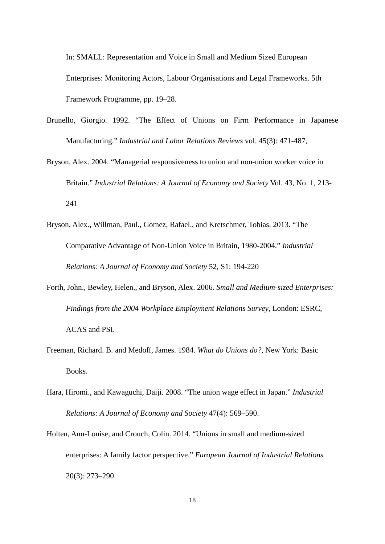In: SMALL: Representation and Voice in Small and Medium Sized European Enterprises: Monitoring Actors, Labour Organisations and Legal Frameworks. 5th Framework Programme, pp. 19–28.

- Brunello, Giorgio. 1992. "The Effect of Unions on Firm Performance in Japanese Manufacturing." *Industrial and Labor Relations Reviews* vol. 45(3): 471-487,
- Bryson, Alex. 2004. "Managerial responsiveness to union and non-union worker voice in Britain." *Industrial Relations: A Journal of Economy and Society* Vol. 43, No. 1, 213- 241
- Bryson, Alex., Willman, Paul., Gomez, Rafael., and Kretschmer, Tobias. 2013. "The Comparative Advantage of Non-Union Voice in Britain, 1980-2004." *Industrial Relations: A Journal of Economy and Society* 52, S1: 194-220
- Forth, John., Bewley, Helen., and Bryson, Alex. 2006. *Small and Medium-sized Enterprises: Findings from the 2004 Workplace Employment Relations Survey*, London: ESRC, ACAS and PSI.
- Freeman, Richard. B. and Medoff, James. 1984. *What do Unions do?*, New York: Basic Books.
- Hara, Hiromi., and Kawaguchi, Daiji. 2008. "The union wage effect in Japan." *Industrial Relations: A Journal of Economy and Society* 47(4): 569–590.
- Holten, Ann-Louise, and Crouch, Colin. 2014. "Unions in small and medium-sized enterprises: A family factor perspective." *European Journal of Industrial Relations* 20(3): 273–290.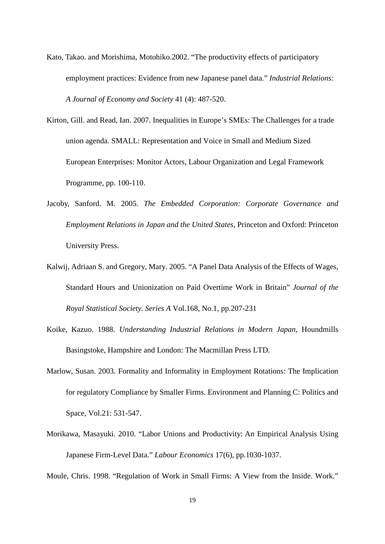Kato, Takao. and Morishima, Motohiko.2002. "The productivity effects of participatory employment practices: Evidence from new Japanese panel data." *Industrial Relations: A Journal of Economy and Society* 41 (4): 487-520.

Kirton, Gill. and Read, Ian. 2007. Inequalities in Europe's SMEs: The Challenges for a trade union agenda. SMALL: Representation and Voice in Small and Medium Sized European Enterprises: Monitor Actors, Labour Organization and Legal Framework Programme, pp. 100-110.

- Jacoby, Sanford. M. 2005. *The Embedded Corporation: Corporate Governance and Employment Relations in Japan and the United States*, Princeton and Oxford: Princeton University Press.
- Kalwij, Adriaan S. and Gregory, Mary. 2005. "A Panel Data Analysis of the Effects of Wages, Standard Hours and Unionization on Paid Overtime Work in Britain" *Journal of the Royal Statistical Society. Series A* Vol.168, No.1, pp.207-231
- Koike, Kazuo. 1988. *Understanding Industrial Relations in Modern Japan*, Houndmills Basingstoke, Hampshire and London: The Macmillan Press LTD.
- Marlow, Susan. 2003. Formality and Informality in Employment Rotations: The Implication for regulatory Compliance by Smaller Firms. Environment and Planning C: Politics and Space, Vol.21: 531-547.
- Morikawa, Masayuki. 2010. "Labor Unions and Productivity: An Empirical Analysis Using Japanese Firm-Level Data." *Labour Economics* 17(6), pp.1030-1037.

Moule, Chris. 1998. "Regulation of Work in Small Firms: A View from the Inside. Work."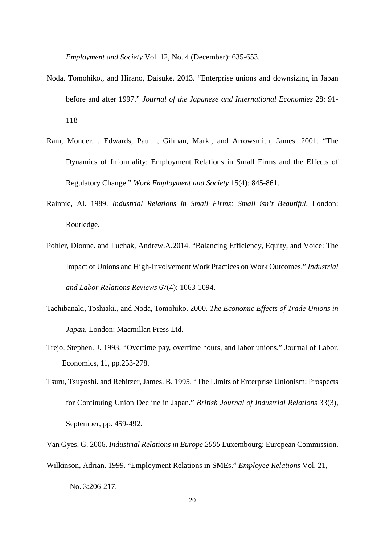*Employment and Society* Vol. 12, No. 4 (December): 635-653.

- Noda, Tomohiko., and Hirano, Daisuke. 2013. "Enterprise unions and downsizing in Japan before and after 1997." *Journal of the Japanese and International Economies* 28: 91- 118
- Ram, Monder. , Edwards, Paul. , Gilman, Mark., and Arrowsmith, James. 2001. "The Dynamics of Informality: Employment Relations in Small Firms and the Effects of Regulatory Change." *Work Employment and Society* 15(4): 845-861.
- Rainnie, Al. 1989. *Industrial Relations in Small Firms: Small isn't Beautiful*, London: Routledge.
- Pohler, Dionne. and Luchak, Andrew.A.2014. "Balancing Efficiency, Equity, and Voice: The Impact of Unions and High-Involvement Work Practices on Work Outcomes." *Industrial and Labor Relations Reviews* 67(4): 1063-1094.
- Tachibanaki, Toshiaki., and Noda, Tomohiko. 2000. *The Economic Effects of Trade Unions in Japan*, London: Macmillan Press Ltd.
- Trejo, Stephen. J. 1993. "Overtime pay, overtime hours, and labor unions." Journal of Labor. Economics, 11, pp.253-278.
- Tsuru, Tsuyoshi. and Rebitzer, James. B. 1995. "The Limits of Enterprise Unionism: Prospects for Continuing Union Decline in Japan." *British Journal of Industrial Relations* 33(3), September, pp. 459-492.
- Van Gyes. G. 2006. *Industrial Relations in Europe 2006* Luxembourg: European Commission.
- Wilkinson, Adrian. 1999. "Employment Relations in SMEs." *Employee Relations* Vol. 21, No. 3:206-217.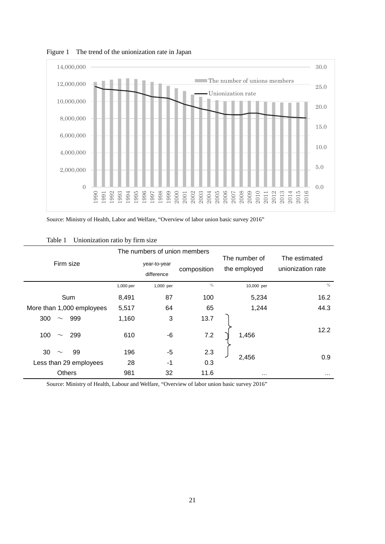

Figure 1 The trend of the unionization rate in Japan

Source: Ministry of Health, Labor and Welfare, "Overview of labor union basic survey 2016"

|                           |                            | The numbers of union members |               |                               |                                    |  |
|---------------------------|----------------------------|------------------------------|---------------|-------------------------------|------------------------------------|--|
| Firm size                 | year-to-year<br>difference |                              | composition   | The number of<br>the employed | The estimated<br>unionization rate |  |
|                           | 1,000 per                  | 1,000 per                    | $\frac{0}{0}$ | 10,000 per                    | $\%$                               |  |
| Sum                       | 8,491                      | 87                           | 100           | 5,234                         | 16.2                               |  |
| More than 1,000 employees | 5,517                      | 64                           | 65            | 1,244                         | 44.3                               |  |
| 300<br>999<br>$\sim$      | 1,160                      | 3                            | 13.7          |                               |                                    |  |
| 100<br>299<br>$\sim$      | 610                        | $-6$                         | 7.2           | 1,456                         | 12.2                               |  |
| 30<br>99<br>$\sim$        | 196                        | $-5$                         | 2.3           |                               |                                    |  |
| Less than 29 employees    | 28                         | $-1$                         | 0.3           | 2,456                         | 0.9                                |  |
| <b>Others</b>             | 981                        | 32                           | 11.6          | $\cdots$                      | $\cdots$                           |  |

Table 1 Unionization ratio by firm size

Source: Ministry of Health, Labour and Welfare, "Overview of labor union basic survey 2016"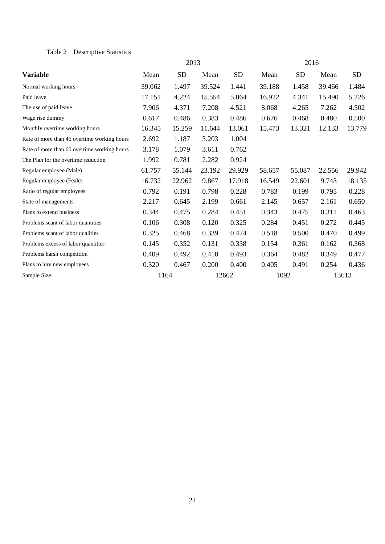# Table 2 Descriptive Statistics

|                                             | 2013   |           |        |           | 2016   |        |        |           |
|---------------------------------------------|--------|-----------|--------|-----------|--------|--------|--------|-----------|
| <b>Variable</b>                             | Mean   | <b>SD</b> | Mean   | <b>SD</b> | Mean   | SD     | Mean   | <b>SD</b> |
| Normal working hours                        | 39.062 | 1.497     | 39.524 | 1.441     | 39.188 | 1.458  | 39.466 | 1.484     |
| Paid leave                                  | 17.151 | 4.224     | 15.554 | 5.064     | 16.922 | 4.341  | 15.490 | 5.226     |
| The use of paid leave                       | 7.906  | 4.371     | 7.208  | 4.521     | 8.068  | 4.265  | 7.262  | 4.502     |
| Wage rise dummy                             | 0.617  | 0.486     | 0.383  | 0.486     | 0.676  | 0.468  | 0.480  | 0.500     |
| Monthly overtime working hours              | 16.345 | 15.259    | 11.644 | 13.061    | 15.473 | 13.321 | 12.133 | 13.779    |
| Rate of more than 45 overtime working hours | 2.692  | 1.187     | 3.203  | 1.004     |        |        |        |           |
| Rate of more than 60 overtime working hours | 3.178  | 1.079     | 3.611  | 0.762     |        |        |        |           |
| The Plan for the overtime reduction         | 1.992  | 0.781     | 2.282  | 0.924     |        |        |        |           |
| Regular employee (Male)                     | 61.757 | 55.144    | 23.192 | 29.929    | 58.657 | 55.087 | 22.556 | 29.942    |
| Regular employee (Feale)                    | 16.732 | 22.962    | 9.867  | 17.918    | 16.549 | 22.601 | 9.743  | 18.135    |
| Ratio of regular employees                  | 0.792  | 0.191     | 0.798  | 0.228     | 0.783  | 0.199  | 0.795  | 0.228     |
| State of managements                        | 2.217  | 0.645     | 2.199  | 0.661     | 2.145  | 0.657  | 2.161  | 0.650     |
| Plans to extend business                    | 0.344  | 0.475     | 0.284  | 0.451     | 0.343  | 0.475  | 0.311  | 0.463     |
| Problems scant of labor quantities          | 0.106  | 0.308     | 0.120  | 0.325     | 0.284  | 0.451  | 0.272  | 0.445     |
| Problems scant of labor qualities           | 0.325  | 0.468     | 0.339  | 0.474     | 0.518  | 0.500  | 0.470  | 0.499     |
| Problems excess of labor quantities         | 0.145  | 0.352     | 0.131  | 0.338     | 0.154  | 0.361  | 0.162  | 0.368     |
| Problems harsh competition                  | 0.409  | 0.492     | 0.418  | 0.493     | 0.364  | 0.482  | 0.349  | 0.477     |
| Plans to hire new employees                 | 0.320  | 0.467     | 0.200  | 0.400     | 0.405  | 0.491  | 0.254  | 0.436     |
| Sample Size                                 | 1164   |           |        | 12662     | 1092   |        |        | 13613     |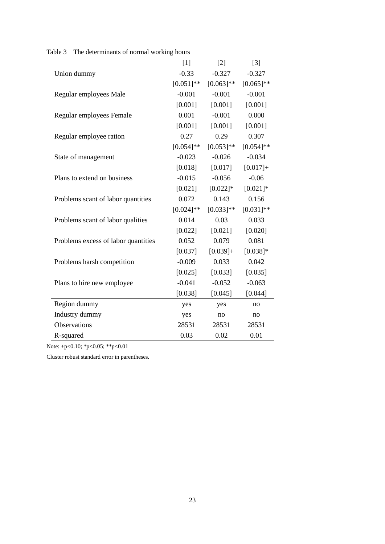|                                     | $[1]$        | $[2]$       | $[3]$        |
|-------------------------------------|--------------|-------------|--------------|
| Union dummy                         | $-0.33$      | $-0.327$    | $-0.327$     |
|                                     | $[0.051]$ ** | $[0.063]**$ | $[0.065]$ ** |
| Regular employees Male              | $-0.001$     | $-0.001$    | $-0.001$     |
|                                     | [0.001]      | [0.001]     | [0.001]      |
| Regular employees Female            | 0.001        | $-0.001$    | 0.000        |
|                                     | [0.001]      | [0.001]     | [0.001]      |
| Regular employee ration             | 0.27         | 0.29        | 0.307        |
|                                     | $[0.054]$ ** | $[0.053]**$ | $[0.054]$ ** |
| State of management                 | $-0.023$     | $-0.026$    | $-0.034$     |
|                                     | [0.018]      | [0.017]     | $[0.017]+$   |
| Plans to extend on business         | $-0.015$     | $-0.056$    | $-0.06$      |
|                                     | [0.021]      | $[0.022]*$  | $[0.021]$ *  |
| Problems scant of labor quantities  | 0.072        | 0.143       | 0.156        |
|                                     | $[0.024]$ ** | $[0.033]**$ | $[0.031]$ ** |
| Problems scant of labor qualities   | 0.014        | 0.03        | 0.033        |
|                                     | [0.022]      | [0.021]     | [0.020]      |
| Problems excess of labor quantities | 0.052        | 0.079       | 0.081        |
|                                     | [0.037]      | $[0.039]+$  | $[0.038]*$   |
| Problems harsh competition          | $-0.009$     | 0.033       | 0.042        |
|                                     | [0.025]      | [0.033]     | [0.035]      |
| Plans to hire new employee          | $-0.041$     | $-0.052$    | $-0.063$     |
|                                     | [0.038]      | [0.045]     | [0.044]      |
| Region dummy                        | yes          | yes         | no           |
| Industry dummy                      | yes          | no          | no           |
| Observations                        | 28531        | 28531       | 28531        |
| R-squared                           | 0.03         | 0.02        | 0.01         |

Table 3 The determinants of normal working hours

Note: +p<0.10; \*p<0.05; \*\*p<0.01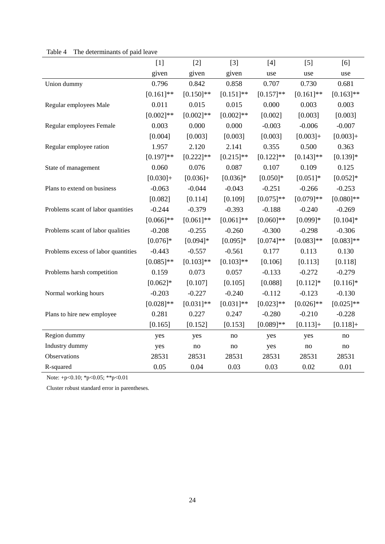<span id="page-24-2"></span><span id="page-24-1"></span><span id="page-24-0"></span>

|                                     | $[1]$        | $[2]$        | $[3]$        | $[4]$        | [5]          | [6]          |
|-------------------------------------|--------------|--------------|--------------|--------------|--------------|--------------|
|                                     | given        | given        | given        | use          | use          | use          |
| Union dummy                         | 0.796        | 0.842        | 0.858        | 0.707        | 0.730        | 0.681        |
|                                     | $[0.161]$ ** | $[0.150]$ ** | $[0.151]$ ** | $[0.157]$ ** | $[0.161]$ ** | $[0.163]$ ** |
| Regular employees Male              | 0.011        | 0.015        | 0.015        | 0.000        | 0.003        | 0.003        |
|                                     | $[0.002]$ ** | $[0.002]$ ** | $[0.002]$ ** | [0.002]      | [0.003]      | [0.003]      |
| Regular employees Female            | 0.003        | 0.000        | 0.000        | $-0.003$     | $-0.006$     | $-0.007$     |
|                                     | [0.004]      | [0.003]      | [0.003]      | [0.003]      | $[0.003]+$   | $[0.003]+$   |
| Regular employee ration             | 1.957        | 2.120        | 2.141        | 0.355        | 0.500        | 0.363        |
|                                     | $[0.197]$ ** | $[0.222]$ ** | $[0.215]$ ** | $[0.122]$ ** | $[0.143]$ ** | $[0.139]*$   |
| State of management                 | 0.060        | 0.076        | 0.087        | 0.107        | 0.109        | 0.125        |
|                                     | $[0.030]+$   | $[0.036]+$   | $[0.036]*$   | $[0.050]*$   | $[0.051]*$   | $[0.052]*$   |
| Plans to extend on business         | $-0.063$     | $-0.044$     | $-0.043$     | $-0.251$     | $-0.266$     | $-0.253$     |
|                                     | [0.082]      | [0.114]      | [0.109]      | $[0.075]$ ** | $[0.079]**$  | $[0.080]$ ** |
| Problems scant of labor quantities  | $-0.244$     | $-0.379$     | $-0.393$     | $-0.188$     | $-0.240$     | $-0.269$     |
|                                     | $[0.066]$ ** | $[0.061]$ ** | $[0.061]$ ** | $[0.060]$ ** | $[0.099]*$   | $[0.104]*$   |
| Problems scant of labor qualities   | $-0.208$     | $-0.255$     | $-0.260$     | $-0.300$     | $-0.298$     | $-0.306$     |
|                                     | $[0.076]*$   | $[0.094]$ *  | $[0.095]*$   | $[0.074]$ ** | $[0.083]$ ** | $[0.083]**$  |
| Problems excess of labor quantities | $-0.443$     | $-0.557$     | $-0.561$     | 0.177        | 0.113        | 0.130        |
|                                     | $[0.085]$ ** | $[0.103]$ ** | $[0.103]$ ** | [0.106]      | [0.113]      | [0.118]      |
| Problems harsh competition          | 0.159        | 0.073        | 0.057        | $-0.133$     | $-0.272$     | $-0.279$     |
|                                     | $[0.062]*$   | [0.107]      | [0.105]      | [0.088]      | $[0.112]*$   | $[0.116]*$   |
| Normal working hours                | $-0.203$     | $-0.227$     | $-0.240$     | $-0.112$     | $-0.123$     | $-0.130$     |
|                                     | $[0.028]**$  | $[0.031]$ ** | $[0.031]$ ** | $[0.023]**$  | $[0.026]$ ** | $[0.025]$ ** |
| Plans to hire new employee          | 0.281        | 0.227        | 0.247        | $-0.280$     | $-0.210$     | $-0.228$     |
|                                     | [0.165]      | [0.152]      | [0.153]      | $[0.089]**$  | $[0.113]+$   | $[0.118]+$   |
| Region dummy                        | yes          | yes          | no           | yes          | yes          | no           |
| Industry dummy                      | yes          | no           | no           | yes          | no           | no           |
| Observations                        | 28531        | 28531        | 28531        | 28531        | 28531        | 28531        |
| R-squared                           | 0.05         | 0.04         | 0.03         | 0.03         | 0.02         | 0.01         |

# Table 4 The determinants of paid leave

<span id="page-24-3"></span>Note: +p<0.10; \*p<0.05; \*\*p<0.01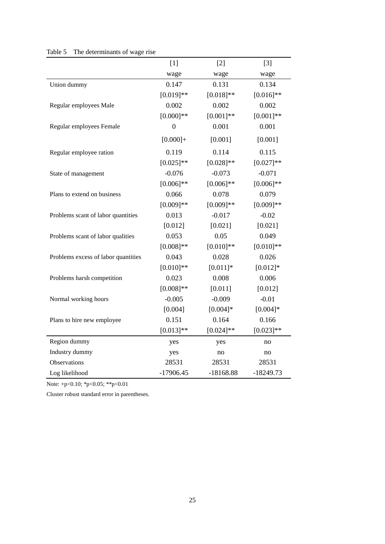|                                     | $[1]$        | $[2]$        | $[3]$        |
|-------------------------------------|--------------|--------------|--------------|
|                                     | wage         | wage         | wage         |
| Union dummy                         | 0.147        | 0.131        | 0.134        |
|                                     | $[0.019]**$  | $[0.018]**$  | $[0.016]$ ** |
| Regular employees Male              | 0.002        | 0.002        | 0.002        |
|                                     | $[0.000]$ ** | $[0.001]**$  | $[0.001]$ ** |
| Regular employees Female            | $\mathbf{0}$ | 0.001        | 0.001        |
|                                     | $[0.000] +$  | [0.001]      | [0.001]      |
| Regular employee ration             | 0.119        | 0.114        | 0.115        |
|                                     | $[0.025]$ ** | $[0.028]**$  | $[0.027]**$  |
| State of management                 | $-0.076$     | $-0.073$     | $-0.071$     |
|                                     | $[0.006]$ ** | $[0.006]$ ** | $[0.006]$ ** |
| Plans to extend on business         | 0.066        | 0.078        | 0.079        |
|                                     | $[0.009]**$  | $[0.009]**$  | $[0.009]**$  |
| Problems scant of labor quantities  | 0.013        | $-0.017$     | $-0.02$      |
|                                     | [0.012]      | [0.021]      | [0.021]      |
| Problems scant of labor qualities   | 0.053        | 0.05         | 0.049        |
|                                     | $[0.008]**$  | $[0.010]**$  | $[0.010]$ ** |
| Problems excess of labor quantities | 0.043        | 0.028        | 0.026        |
|                                     | $[0.010]**$  | $[0.011]*$   | $[0.012]*$   |
| Problems harsh competition          | 0.023        | 0.008        | 0.006        |
|                                     | $[0.008]**$  | [0.011]      | [0.012]      |
| Normal working hours                | $-0.005$     | $-0.009$     | $-0.01$      |
|                                     | [0.004]      | $[0.004]*$   | $[0.004]*$   |
| Plans to hire new employee          | 0.151        | 0.164        | 0.166        |
|                                     | $[0.013]**$  | $[0.024]$ ** | $[0.023]$ ** |
| Region dummy                        | yes          | yes          | no           |
| Industry dummy                      | yes          | no           | no           |
| Observations                        | 28531        | 28531        | 28531        |
| Log likelihood                      | $-17906.45$  | $-18168.88$  | $-18249.73$  |

# Table 5 The determinants of wage rise

<span id="page-25-0"></span>Note: +p<0.10; \*p<0.05; \*\*p<0.01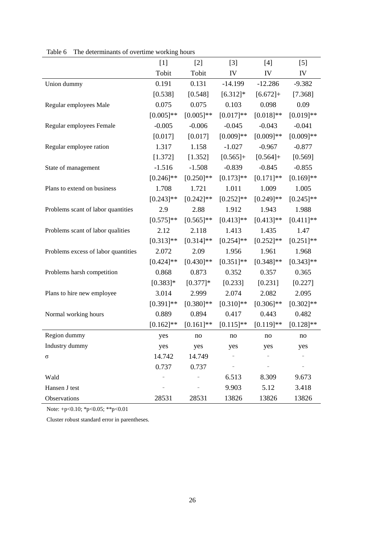|                                     | $[1]$        | $[2]$        | $[3]$        | $[4]$        | $[5]$        |
|-------------------------------------|--------------|--------------|--------------|--------------|--------------|
|                                     | Tobit        | Tobit        | IV           | IV           | IV           |
| Union dummy                         | 0.191        | 0.131        | $-14.199$    | $-12.286$    | $-9.382$     |
|                                     | [0.538]      | [0.548]      | $[6.312]*$   | $[6.672]+$   | [7.368]      |
| Regular employees Male              | 0.075        | 0.075        | 0.103        | 0.098        | 0.09         |
|                                     | $[0.005]$ ** | $[0.005]$ ** | $[0.017]**$  | $[0.018]**$  | $[0.019]**$  |
| Regular employees Female            | $-0.005$     | $-0.006$     | $-0.045$     | $-0.043$     | $-0.041$     |
|                                     | [0.017]      | [0.017]      | $[0.009]**$  | $[0.009]**$  | $[0.009]**$  |
| Regular employee ration             | 1.317        | 1.158        | $-1.027$     | $-0.967$     | $-0.877$     |
|                                     | [1.372]      | [1.352]      | $[0.565]+$   | $[0.564]+$   | [0.569]      |
| State of management                 | $-1.516$     | $-1.508$     | $-0.839$     | $-0.845$     | $-0.855$     |
|                                     | $[0.246]$ ** | $[0.250]$ ** | $[0.173]$ ** | $[0.171]$ ** | $[0.169]$ ** |
| Plans to extend on business         | 1.708        | 1.721        | 1.011        | 1.009        | 1.005        |
|                                     | $[0.243]$ ** | $[0.242]$ ** | $[0.252]$ ** | $[0.249]$ ** | $[0.245]$ ** |
| Problems scant of labor quantities  | 2.9          | 2.88         | 1.912        | 1.943        | 1.988        |
|                                     | $[0.575]$ ** | $[0.565]$ ** | $[0.413]$ ** | $[0.413]$ ** | $[0.411]$ ** |
| Problems scant of labor qualities   | 2.12         | 2.118        | 1.413        | 1.435        | 1.47         |
|                                     | $[0.313]**$  | $[0.314]$ ** | $[0.254]$ ** | $[0.252]$ ** | $[0.251]$ ** |
| Problems excess of labor quantities | 2.072        | 2.09         | 1.956        | 1.961        | 1.968        |
|                                     | $[0.424]$ ** | $[0.430]$ ** | $[0.351]$ ** | $[0.348]$ ** | $[0.343]$ ** |
| Problems harsh competition          | 0.868        | 0.873        | 0.352        | 0.357        | 0.365        |
|                                     | $[0.383]$ *  | $[0.377]$ *  | [0.233]      | [0.231]      | [0.227]      |
| Plans to hire new employee          | 3.014        | 2.999        | 2.074        | 2.082        | 2.095        |
|                                     | $[0.391]$ ** | $[0.380]$ ** | $[0.310]$ ** | $[0.306]$ ** | $[0.302]**$  |
| Normal working hours                | 0.889        | 0.894        | 0.417        | 0.443        | 0.482        |
|                                     | $[0.162]$ ** | $[0.161]$ ** | $[0.115]$ ** | $[0.119]**$  | $[0.128]$ ** |
| Region dummy                        | yes          | no           | no           | no           | no           |
| Industry dummy                      | yes          | yes          | yes          | yes          | yes          |
| Q                                   | 14.742       | 14.749       |              |              |              |
|                                     | 0.737        | 0.737        |              |              |              |
| Wald                                |              |              | 6.513        | 8.309        | 9.673        |
| Hansen J test                       |              |              | 9.903        | 5.12         | 3.418        |
| Observations                        | 28531        | 28531        | 13826        | 13826        | 13826        |

Table 6 The determinants of overtime working hours

<span id="page-26-1"></span><span id="page-26-0"></span>Note: +p<0.10; \*p<0.05; \*\*p<0.01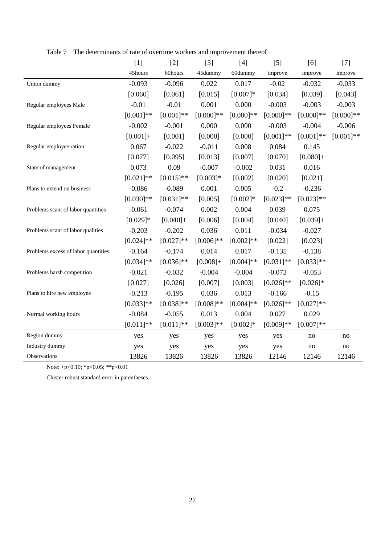|  |  | Table 7 The determinants of rate of overtime workers and improvement thereof |  |
|--|--|------------------------------------------------------------------------------|--|
|  |  |                                                                              |  |

|                                     | $[1]$        | $[2]$        | $[3]$        | $[4]$        | $[5]$        | [6]          | $[7]$        |
|-------------------------------------|--------------|--------------|--------------|--------------|--------------|--------------|--------------|
|                                     | 45hours      | 60hours      | 45dummy      | 60dummy      | improve      | improve      | improve      |
| Union dummy                         | $-0.093$     | $-0.096$     | 0.022        | 0.017        | $-0.02$      | $-0.032$     | $-0.033$     |
|                                     | [0.060]      | [0.061]      | [0.015]      | $[0.007]*$   | [0.034]      | [0.039]      | [0.043]      |
| Regular employees Male              | $-0.01$      | $-0.01$      | 0.001        | 0.000        | $-0.003$     | $-0.003$     | $-0.003$     |
|                                     | $[0.001]**$  | $[0.001]**$  | $[0.000]**$  | $[0.000]$ ** | $[0.000]**$  | $[0.000]**$  | $[0.000]$ ** |
| Regular employees Female            | $-0.002$     | $-0.001$     | 0.000        | 0.000        | $-0.003$     | $-0.004$     | $-0.006$     |
|                                     | $[0.001]+$   | [0.001]      | [0.000]      | [0.000]      | $[0.001]**$  | $[0.001]**$  | $[0.001]**$  |
| Regular employee ration             | 0.067        | $-0.022$     | $-0.011$     | 0.008        | 0.084        | 0.145        |              |
|                                     | [0.077]      | [0.095]      | [0.013]      | [0.007]      | [0.070]      | $[0.080]+$   |              |
| State of management                 | 0.073        | 0.09         | $-0.007$     | $-0.002$     | 0.031        | 0.016        |              |
|                                     | $[0.021]$ ** | $[0.015]**$  | $[0.003]*$   | [0.002]      | [0.020]      | [0.021]      |              |
| Plans to extend on business         | $-0.086$     | $-0.089$     | 0.001        | 0.005        | $-0.2$       | $-0.236$     |              |
|                                     | $[0.030]$ ** | $[0.031]$ ** | [0.005]      | $[0.002]*$   | $[0.023]**$  | $[0.023]**$  |              |
| Problems scant of labor quantities  | $-0.061$     | $-0.074$     | 0.002        | 0.004        | 0.039        | 0.075        |              |
|                                     | $[0.029]*$   | $[0.040]+$   | [0.006]      | [0.004]      | [0.040]      | $[0.039]+$   |              |
| Problems scant of labor qualities   | $-0.203$     | $-0.202$     | 0.036        | 0.011        | $-0.034$     | $-0.027$     |              |
|                                     | $[0.024]$ ** | $[0.027]**$  | $[0.006]$ ** | $[0.002]**$  | [0.022]      | [0.023]      |              |
| Problems excess of labor quantities | $-0.164$     | $-0.174$     | 0.014        | 0.017        | $-0.135$     | $-0.138$     |              |
|                                     | $[0.034]$ ** | $[0.036]$ ** | $[0.008]+$   | $[0.004]$ ** | $[0.031]$ ** | $[0.033]$ ** |              |
| Problems harsh competition          | $-0.021$     | $-0.032$     | $-0.004$     | $-0.004$     | $-0.072$     | $-0.053$     |              |
|                                     | [0.027]      | [0.026]      | [0.007]      | [0.003]      | $[0.026]$ ** | $[0.026]*$   |              |
| Plans to hire new employee          | $-0.213$     | $-0.195$     | 0.036        | 0.013        | $-0.166$     | $-0.15$      |              |
|                                     | $[0.033]**$  | $[0.038]$ ** | $[0.008]$ ** | $[0.004]$ ** | $[0.026]$ ** | $[0.027]**$  |              |
| Normal working hours                | $-0.084$     | $-0.055$     | 0.013        | 0.004        | 0.027        | 0.029        |              |
|                                     | $[0.011]$ ** | $[0.011]$ ** | $[0.003]**$  | $[0.002]*$   | $[0.009]**$  | $[0.007]**$  |              |
| Region dummy                        | yes          | yes          | yes          | yes          | yes          | no           | no           |
| Industry dummy                      | yes          | yes          | yes          | yes          | yes          | no           | $\rm no$     |
| Observations                        | 13826        | 13826        | 13826        | 13826        | 12146        | 12146        | 12146        |

Note: +p<0.10; \*p<0.05; \*\*p<0.01